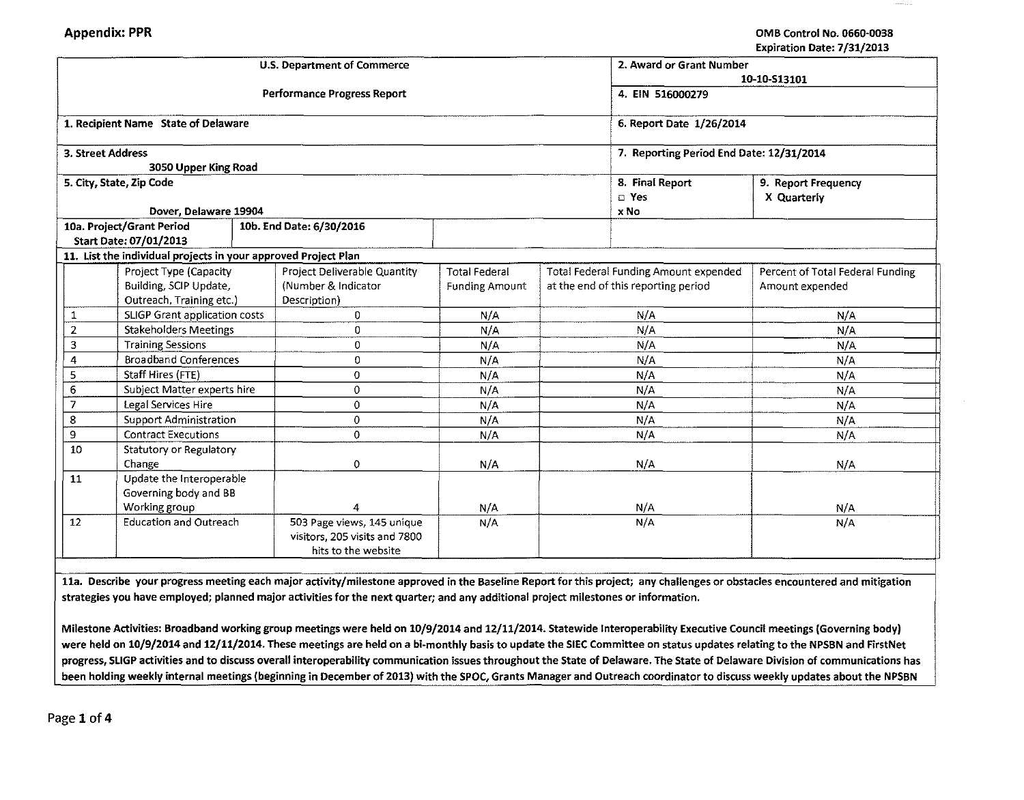| <b>Performance Progress Report</b><br>4. EIN 516000279<br>1. Recipient Name State of Delaware<br>6. Report Date 1/26/2014<br>7. Reporting Period End Date: 12/31/2014<br>3. Street Address<br>3050 Upper King Road<br>5. City, State, Zip Code<br>8. Final Report<br>9. Report Frequency<br>a Yes<br>X Quarterly<br>Dover, Delaware 19904<br>x No<br>10a. Project/Grant Period<br>10b. End Date: 6/30/2016<br>Start Date: 07/01/2013<br>11. List the individual projects in your approved Project Plan<br>Project Type (Capacity<br>Project Deliverable Quantity<br><b>Total Federal</b><br>Total Federal Funding Amount expended<br>Percent of Total Federal Funding<br>(Number & Indicator<br>Building, SCIP Update,<br>at the end of this reporting period<br><b>Funding Amount</b><br>Amount expended<br>Outreach, Training etc.)<br>Description)<br>SLIGP Grant application costs<br>N/A<br>0<br>N/A<br>N/A<br>1<br>$\overline{2}$<br><b>Stakeholders Meetings</b><br>0<br>N/A<br>N/A<br>N/A<br><b>Training Sessions</b><br>N/A<br>3<br>0<br>N/A<br>N/A<br><b>Broadband Conferences</b><br>0<br>N/A<br>4<br>N/A<br>N/A<br>Staff Hires (FTE)<br>5<br>0<br>N/A<br>N/A<br>N/A<br>Subject Matter experts hire<br>0<br>6<br>N/A<br>N/A<br>N/A<br>7<br>0<br>Legal Services Hire<br>N/A<br>N/A<br>N/A<br>8<br><b>Support Administration</b><br>0<br>N/A<br>N/A<br>N/A<br>9<br><b>Contract Executions</b><br>0<br>N/A<br>N/A<br>N/A<br>10<br>Statutory or Regulatory<br>Change<br>N/A<br>0<br>N/A<br>N/A |    |                          |  | U.S. Department of Commerce |              | 2. Award or Grant Number |  |  |  |
|-------------------------------------------------------------------------------------------------------------------------------------------------------------------------------------------------------------------------------------------------------------------------------------------------------------------------------------------------------------------------------------------------------------------------------------------------------------------------------------------------------------------------------------------------------------------------------------------------------------------------------------------------------------------------------------------------------------------------------------------------------------------------------------------------------------------------------------------------------------------------------------------------------------------------------------------------------------------------------------------------------------------------------------------------------------------------------------------------------------------------------------------------------------------------------------------------------------------------------------------------------------------------------------------------------------------------------------------------------------------------------------------------------------------------------------------------------------------------------------------------------|----|--------------------------|--|-----------------------------|--------------|--------------------------|--|--|--|
|                                                                                                                                                                                                                                                                                                                                                                                                                                                                                                                                                                                                                                                                                                                                                                                                                                                                                                                                                                                                                                                                                                                                                                                                                                                                                                                                                                                                                                                                                                       |    |                          |  |                             | 10-10-513101 |                          |  |  |  |
|                                                                                                                                                                                                                                                                                                                                                                                                                                                                                                                                                                                                                                                                                                                                                                                                                                                                                                                                                                                                                                                                                                                                                                                                                                                                                                                                                                                                                                                                                                       |    |                          |  |                             |              |                          |  |  |  |
|                                                                                                                                                                                                                                                                                                                                                                                                                                                                                                                                                                                                                                                                                                                                                                                                                                                                                                                                                                                                                                                                                                                                                                                                                                                                                                                                                                                                                                                                                                       |    |                          |  |                             |              |                          |  |  |  |
|                                                                                                                                                                                                                                                                                                                                                                                                                                                                                                                                                                                                                                                                                                                                                                                                                                                                                                                                                                                                                                                                                                                                                                                                                                                                                                                                                                                                                                                                                                       |    |                          |  |                             |              |                          |  |  |  |
|                                                                                                                                                                                                                                                                                                                                                                                                                                                                                                                                                                                                                                                                                                                                                                                                                                                                                                                                                                                                                                                                                                                                                                                                                                                                                                                                                                                                                                                                                                       |    |                          |  |                             |              |                          |  |  |  |
|                                                                                                                                                                                                                                                                                                                                                                                                                                                                                                                                                                                                                                                                                                                                                                                                                                                                                                                                                                                                                                                                                                                                                                                                                                                                                                                                                                                                                                                                                                       |    |                          |  |                             |              |                          |  |  |  |
|                                                                                                                                                                                                                                                                                                                                                                                                                                                                                                                                                                                                                                                                                                                                                                                                                                                                                                                                                                                                                                                                                                                                                                                                                                                                                                                                                                                                                                                                                                       |    |                          |  |                             |              |                          |  |  |  |
|                                                                                                                                                                                                                                                                                                                                                                                                                                                                                                                                                                                                                                                                                                                                                                                                                                                                                                                                                                                                                                                                                                                                                                                                                                                                                                                                                                                                                                                                                                       |    |                          |  |                             |              |                          |  |  |  |
|                                                                                                                                                                                                                                                                                                                                                                                                                                                                                                                                                                                                                                                                                                                                                                                                                                                                                                                                                                                                                                                                                                                                                                                                                                                                                                                                                                                                                                                                                                       |    |                          |  |                             |              |                          |  |  |  |
|                                                                                                                                                                                                                                                                                                                                                                                                                                                                                                                                                                                                                                                                                                                                                                                                                                                                                                                                                                                                                                                                                                                                                                                                                                                                                                                                                                                                                                                                                                       |    |                          |  |                             |              |                          |  |  |  |
|                                                                                                                                                                                                                                                                                                                                                                                                                                                                                                                                                                                                                                                                                                                                                                                                                                                                                                                                                                                                                                                                                                                                                                                                                                                                                                                                                                                                                                                                                                       |    |                          |  |                             |              |                          |  |  |  |
|                                                                                                                                                                                                                                                                                                                                                                                                                                                                                                                                                                                                                                                                                                                                                                                                                                                                                                                                                                                                                                                                                                                                                                                                                                                                                                                                                                                                                                                                                                       |    |                          |  |                             |              |                          |  |  |  |
|                                                                                                                                                                                                                                                                                                                                                                                                                                                                                                                                                                                                                                                                                                                                                                                                                                                                                                                                                                                                                                                                                                                                                                                                                                                                                                                                                                                                                                                                                                       |    |                          |  |                             |              |                          |  |  |  |
|                                                                                                                                                                                                                                                                                                                                                                                                                                                                                                                                                                                                                                                                                                                                                                                                                                                                                                                                                                                                                                                                                                                                                                                                                                                                                                                                                                                                                                                                                                       |    |                          |  |                             |              |                          |  |  |  |
|                                                                                                                                                                                                                                                                                                                                                                                                                                                                                                                                                                                                                                                                                                                                                                                                                                                                                                                                                                                                                                                                                                                                                                                                                                                                                                                                                                                                                                                                                                       |    |                          |  |                             |              |                          |  |  |  |
|                                                                                                                                                                                                                                                                                                                                                                                                                                                                                                                                                                                                                                                                                                                                                                                                                                                                                                                                                                                                                                                                                                                                                                                                                                                                                                                                                                                                                                                                                                       |    |                          |  |                             |              |                          |  |  |  |
|                                                                                                                                                                                                                                                                                                                                                                                                                                                                                                                                                                                                                                                                                                                                                                                                                                                                                                                                                                                                                                                                                                                                                                                                                                                                                                                                                                                                                                                                                                       |    |                          |  |                             |              |                          |  |  |  |
|                                                                                                                                                                                                                                                                                                                                                                                                                                                                                                                                                                                                                                                                                                                                                                                                                                                                                                                                                                                                                                                                                                                                                                                                                                                                                                                                                                                                                                                                                                       |    |                          |  |                             |              |                          |  |  |  |
|                                                                                                                                                                                                                                                                                                                                                                                                                                                                                                                                                                                                                                                                                                                                                                                                                                                                                                                                                                                                                                                                                                                                                                                                                                                                                                                                                                                                                                                                                                       |    |                          |  |                             |              |                          |  |  |  |
|                                                                                                                                                                                                                                                                                                                                                                                                                                                                                                                                                                                                                                                                                                                                                                                                                                                                                                                                                                                                                                                                                                                                                                                                                                                                                                                                                                                                                                                                                                       |    |                          |  |                             |              |                          |  |  |  |
|                                                                                                                                                                                                                                                                                                                                                                                                                                                                                                                                                                                                                                                                                                                                                                                                                                                                                                                                                                                                                                                                                                                                                                                                                                                                                                                                                                                                                                                                                                       |    |                          |  |                             |              |                          |  |  |  |
|                                                                                                                                                                                                                                                                                                                                                                                                                                                                                                                                                                                                                                                                                                                                                                                                                                                                                                                                                                                                                                                                                                                                                                                                                                                                                                                                                                                                                                                                                                       |    |                          |  |                             |              |                          |  |  |  |
|                                                                                                                                                                                                                                                                                                                                                                                                                                                                                                                                                                                                                                                                                                                                                                                                                                                                                                                                                                                                                                                                                                                                                                                                                                                                                                                                                                                                                                                                                                       |    |                          |  |                             |              |                          |  |  |  |
|                                                                                                                                                                                                                                                                                                                                                                                                                                                                                                                                                                                                                                                                                                                                                                                                                                                                                                                                                                                                                                                                                                                                                                                                                                                                                                                                                                                                                                                                                                       |    |                          |  |                             |              |                          |  |  |  |
|                                                                                                                                                                                                                                                                                                                                                                                                                                                                                                                                                                                                                                                                                                                                                                                                                                                                                                                                                                                                                                                                                                                                                                                                                                                                                                                                                                                                                                                                                                       |    |                          |  |                             |              |                          |  |  |  |
|                                                                                                                                                                                                                                                                                                                                                                                                                                                                                                                                                                                                                                                                                                                                                                                                                                                                                                                                                                                                                                                                                                                                                                                                                                                                                                                                                                                                                                                                                                       | 11 | Update the Interoperable |  |                             |              |                          |  |  |  |
| Governing body and BB                                                                                                                                                                                                                                                                                                                                                                                                                                                                                                                                                                                                                                                                                                                                                                                                                                                                                                                                                                                                                                                                                                                                                                                                                                                                                                                                                                                                                                                                                 |    |                          |  |                             |              |                          |  |  |  |
| Working group<br>N/A<br>N/A<br>N/A                                                                                                                                                                                                                                                                                                                                                                                                                                                                                                                                                                                                                                                                                                                                                                                                                                                                                                                                                                                                                                                                                                                                                                                                                                                                                                                                                                                                                                                                    |    |                          |  |                             |              |                          |  |  |  |
| <b>Education and Outreach</b><br>12<br>503 Page views, 145 unique<br>N/A<br>N/A<br>N/A<br>visitors, 205 visits and 7800                                                                                                                                                                                                                                                                                                                                                                                                                                                                                                                                                                                                                                                                                                                                                                                                                                                                                                                                                                                                                                                                                                                                                                                                                                                                                                                                                                               |    |                          |  |                             |              |                          |  |  |  |
| hits to the website                                                                                                                                                                                                                                                                                                                                                                                                                                                                                                                                                                                                                                                                                                                                                                                                                                                                                                                                                                                                                                                                                                                                                                                                                                                                                                                                                                                                                                                                                   |    |                          |  |                             |              |                          |  |  |  |

11a. Describe your progress meeting each major activity/milestone approved in the Baseline Report for this project; any challenges or obstacles encountered and mitigation strategies you have employed; planned major activities for the next quarter; and any additional project milestones or information.

Milestone Activities: Broadband working group meetings were held on 10/9/2014 and 12/11/2014. Statewide lnteroperability Executive Council meetings {Governing body) were held on 10/9/2014 and 12/11/2014. These meetings are held on a bi-monthly basis to update the SIEC Committee on status updates relating to the NPSBN and FirstNet progress, SLIGP activities and to discuss overall interoperability communication issues throughout the State of Delaware. The State of Delaware Division of communications has been holding weekly internal meetings {beginning in December of 2013) with the SPOC, Grants Manager and Outreach coordinator to discuss weekly updates about the NPSBN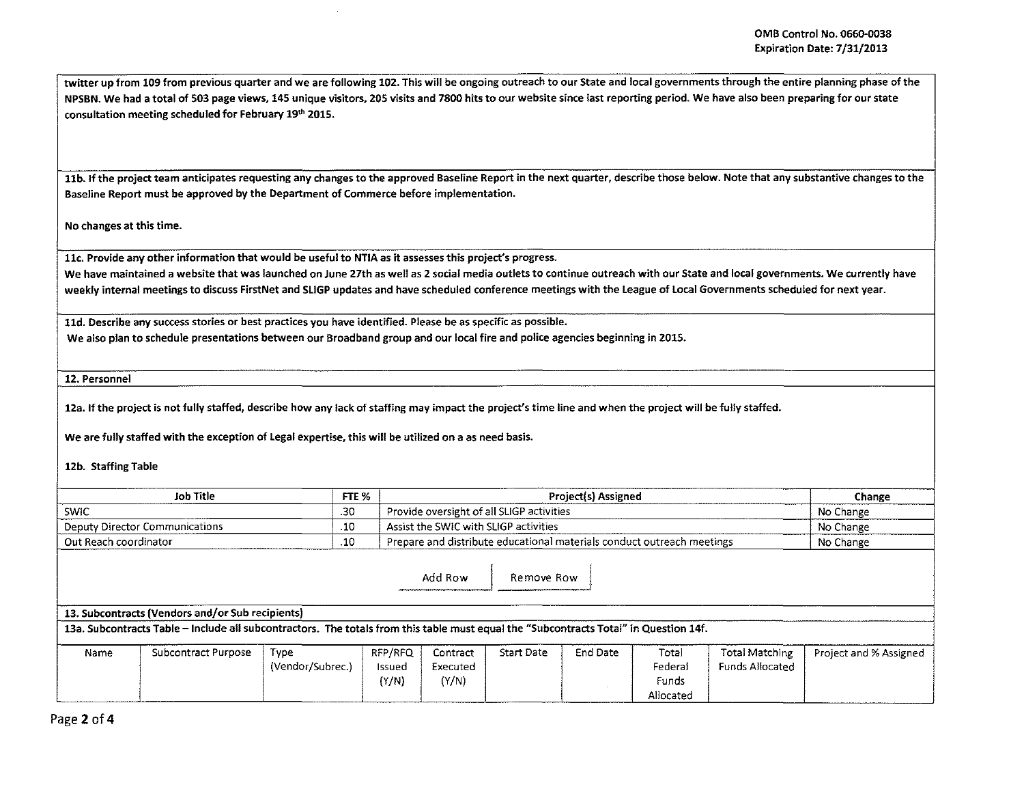twitter up from 109 from previous quarter and we are following 102. This will be ongoing outreach to our State and local governments through the entire planning phase of the NPSBN. We had a total of 503 page views, 145 unique visitors, 205 visits and 7800 hits to our website since last reporting period. We have also been preparing for our state consultation meeting scheduled for February 19th 2015.

11b. If the project team anticipates requesting any changes to the approved Baseline Report in the next quarter, describe those below. Note that any substantive changes to the Baseline Report must be approved by the Department of Commerce before implementation.

No changes at this time.

llc. Provide any other information that would be useful to NTIA as it assesses this project's progress.

We have maintained a website that was launched on June 27th as well as 2 social media outlets to continue outreach with our State and local governments. We currently have weekly internal meetings to discuss FirstNet and SLIGP updates and have scheduled conference meetings with the League of Local Governments scheduled for next year.

lld. Describe any success stories or best practices you have identified. Please be as specific as possible. We also plan to schedule presentations between our Broadband group and our local fire and police agencies beginning in 2015.

12. Personnel

12a. If the project is not fully staffed, describe how any lack of staffing may impact the project's time line and when the project will be fully staffed.

We are fully staffed with the exception of Legal expertise, this will be utilized on a as need basis.

12b. Staffing Table

| Job Title                      | FTE % | <b>Project(s) Assigned</b>                                             | Change    |
|--------------------------------|-------|------------------------------------------------------------------------|-----------|
| SWIC                           | -30   | Provide oversight of all SLIGP activities                              | No Change |
| Deputy Director Communications | -10   | Assist the SWIC with SLIGP activities                                  | No Change |
| Out Reach coordinator          | .10   | Prepare and distribute educational materials conduct outreach meetings | No Change |

Add Row | Remove Row |

13. Subcontracts (Vendors and/or Sub recipients) 13a. Subcontracts Table - Include all subcontractors. The totals from this table must equal the "Subcontracts Total" in Question 14f.

| Name | Subcontract Purpose | Type             | RFP/RFQ | Contract | Start Date | End Date | Total     | <b>Total Matching</b> | Project and % Assigned |
|------|---------------------|------------------|---------|----------|------------|----------|-----------|-----------------------|------------------------|
|      |                     | (Vendor/Subrec., | Issued  | Executed |            |          | Federal   | Funds Allocated       |                        |
|      |                     |                  | (Y/N)   | $'Y/N$ ) |            |          | Funds     |                       |                        |
|      |                     |                  |         |          |            |          | Allocated |                       |                        |

Page *2* of4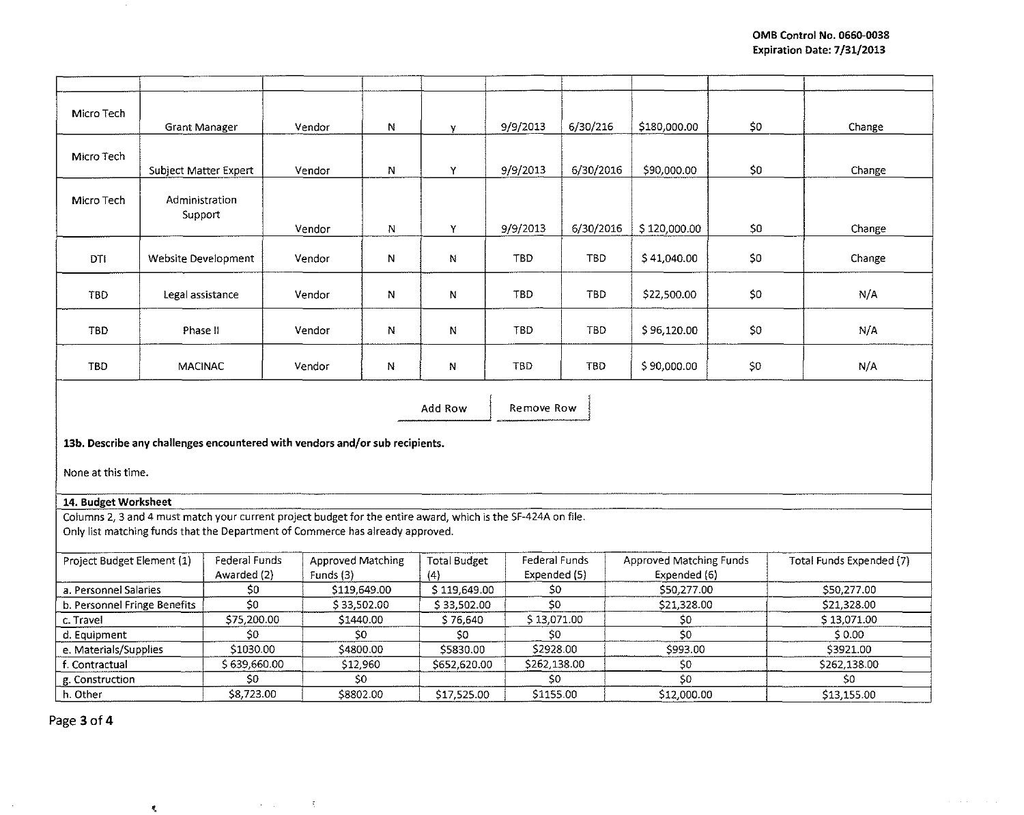| Micro Tech                                                                                                                                                                                      |                       |                          |                                    |          |                     |               |                          |                   |      |                          |  |
|-------------------------------------------------------------------------------------------------------------------------------------------------------------------------------------------------|-----------------------|--------------------------|------------------------------------|----------|---------------------|---------------|--------------------------|-------------------|------|--------------------------|--|
|                                                                                                                                                                                                 | Grant Manager         |                          | Vendor                             | N        | y.                  | 9/9/2013      | 6/30/216                 | \$180,000.00      | \$0  | Change                   |  |
|                                                                                                                                                                                                 |                       |                          |                                    |          |                     |               |                          |                   |      |                          |  |
| Micro Tech                                                                                                                                                                                      |                       |                          |                                    |          |                     |               |                          |                   |      |                          |  |
|                                                                                                                                                                                                 | Subject Matter Expert |                          | Vendor                             | N        | Y                   | 9/9/2013      | 6/30/2016                | \$90,000.00       | \$0  | Change                   |  |
| Micro Tech                                                                                                                                                                                      | Administration        |                          |                                    |          |                     |               |                          |                   |      |                          |  |
|                                                                                                                                                                                                 | Support               |                          |                                    |          |                     |               |                          |                   |      |                          |  |
|                                                                                                                                                                                                 |                       |                          | Vendor                             | N        | Y                   | 9/9/2013      | 6/30/2016                | \$120,000.00      | 50   | Change                   |  |
|                                                                                                                                                                                                 |                       |                          |                                    |          |                     |               |                          |                   |      |                          |  |
| DTI                                                                                                                                                                                             | Website Development   |                          | Vendor                             | N        | N                   | <b>TBD</b>    | <b>TBD</b>               | \$41,040.00       | \$O. | Change                   |  |
|                                                                                                                                                                                                 |                       |                          |                                    |          |                     |               |                          |                   |      |                          |  |
| TBD                                                                                                                                                                                             | Legal assistance      |                          | Vendor                             | Ν        | N                   | TBD           | <b>TBD</b>               | \$22,500.00       | 50   | N/A                      |  |
|                                                                                                                                                                                                 |                       |                          |                                    |          |                     |               |                          |                   |      |                          |  |
| TBD                                                                                                                                                                                             | Phase II              |                          | Vendor                             | N        | N                   | TBD           | <b>TBD</b>               | \$96,120.00       | \$0  | N/A                      |  |
|                                                                                                                                                                                                 |                       |                          |                                    |          |                     |               |                          |                   |      |                          |  |
| TBD                                                                                                                                                                                             | <b>MACINAC</b>        |                          | Vendor                             | N        | N                   | TBD           | <b>TBD</b>               | \$90,000.00       | \$0. | N/A                      |  |
|                                                                                                                                                                                                 |                       |                          |                                    |          |                     |               |                          |                   |      |                          |  |
|                                                                                                                                                                                                 |                       |                          |                                    |          |                     |               |                          |                   |      |                          |  |
| Add Row<br>Remove Row                                                                                                                                                                           |                       |                          |                                    |          |                     |               |                          |                   |      |                          |  |
|                                                                                                                                                                                                 |                       |                          |                                    |          |                     |               |                          |                   |      |                          |  |
| 13b. Describe any challenges encountered with vendors and/or sub recipients.                                                                                                                    |                       |                          |                                    |          |                     |               |                          |                   |      |                          |  |
|                                                                                                                                                                                                 |                       |                          |                                    |          |                     |               |                          |                   |      |                          |  |
| None at this time.                                                                                                                                                                              |                       |                          |                                    |          |                     |               |                          |                   |      |                          |  |
|                                                                                                                                                                                                 |                       |                          |                                    |          |                     |               |                          |                   |      |                          |  |
| 14. Budget Worksheet                                                                                                                                                                            |                       |                          |                                    |          |                     |               |                          |                   |      |                          |  |
| Columns 2, 3 and 4 must match your current project budget for the entire award, which is the SF-424A on file.<br>Only list matching funds that the Department of Commerce has already approved. |                       |                          |                                    |          |                     |               |                          |                   |      |                          |  |
|                                                                                                                                                                                                 |                       |                          |                                    |          |                     |               |                          |                   |      |                          |  |
| Project Budget Element (1)                                                                                                                                                                      |                       |                          | Federal Funds<br>Approved Matching |          | <b>Total Budget</b> | Federal Funds | Approved Matching Funds  |                   |      | Total Funds Expended (7) |  |
|                                                                                                                                                                                                 |                       | Awarded (2)<br>Funds (3) |                                    |          | (4)                 | Expended (5)  |                          | Expended (6)      |      |                          |  |
| a. Personnel Salaries                                                                                                                                                                           |                       | \$0                      | \$119,649.00                       |          | \$119,649.00        | \$0           |                          | \$50,277.00       |      | \$50,277.00              |  |
| b. Personnel Fringe Benefits                                                                                                                                                                    |                       | $\overline{\mathsf{S0}}$ | \$33,502.00                        |          | \$33,502.00         | \$0           |                          | \$21,328.00<br>50 |      | \$21,328.00              |  |
| c. Travel                                                                                                                                                                                       |                       |                          | \$75,200.00<br>\$1440.00           |          | \$76,640            |               | \$13,071.00              |                   |      | \$13,071.00              |  |
| d. Equipment                                                                                                                                                                                    |                       | \$0                      |                                    | \$0      |                     | \$0           |                          | 50                |      | \$0.00                   |  |
| e. Materials/Supplies                                                                                                                                                                           |                       |                          | \$1030.00<br>\$4800.00             |          | \$5830.00           | \$2928.00     |                          | \$993.00          |      | \$3921.00                |  |
| f. Contractual                                                                                                                                                                                  |                       | \$639,660.00             |                                    | \$12,960 | \$652,620.00        | \$262,138.00  |                          | \$0               |      | \$262,138.00             |  |
| g. Construction                                                                                                                                                                                 |                       | \$0                      |                                    | \$0      |                     | \$0           |                          | 50                |      | SO.                      |  |
| h. Other                                                                                                                                                                                        |                       |                          | \$8802.00<br>\$8,723.00            |          | \$17,525.00         |               | \$1155.00<br>\$12,000.00 |                   |      | \$13,155.00              |  |

Page 3of4

 $\sim$   $\sim$ 

 $\sim 100$